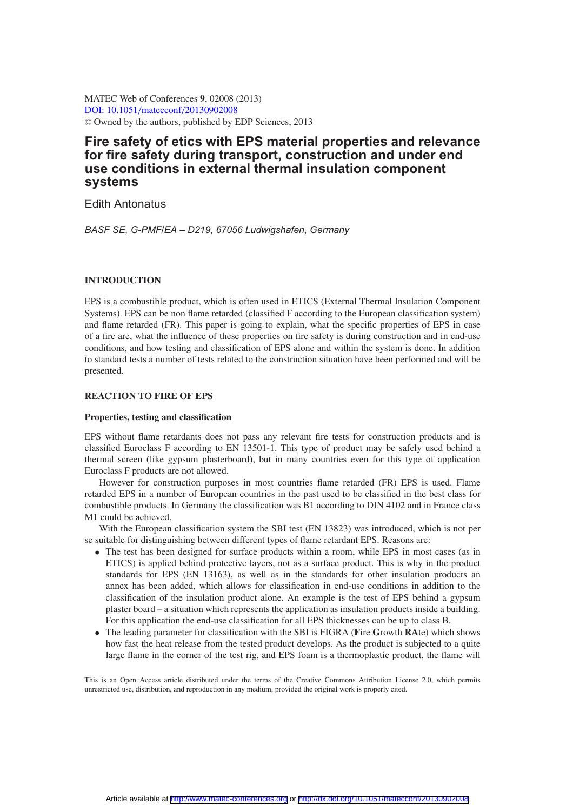MATEC Web of Conferences **9**, 02008 (2013) [DOI: 10.1051](http://dx.doi.org/10.1051/matecconf/20130902008)/matecconf/20130902008 <sup>C</sup> Owned by the authors, published by EDP Sciences, 2013

# **Fire safety of etics with EPS material properties and relevance for fire safety during transport, construction and under end use conditions in external thermal insulation component systems**

Edith Antonatus

*BASF SE, G-PMF/EA – D219, 67056 Ludwigshafen, Germany*

## **INTRODUCTION**

EPS is a combustible product, which is often used in ETICS (External Thermal Insulation Component Systems). EPS can be non flame retarded (classified F according to the European classification system) and flame retarded (FR). This paper is going to explain, what the specific properties of EPS in case of a fire are, what the influence of these properties on fire safety is during construction and in end-use conditions, and how testing and classification of EPS alone and within the system is done. In addition to standard tests a number of tests related to the construction situation have been performed and will be presented.

## **REACTION TO FIRE OF EPS**

#### **Properties, testing and classification**

EPS without flame retardants does not pass any relevant fire tests for construction products and is classified Euroclass F according to EN 13501-1. This type of product may be safely used behind a thermal screen (like gypsum plasterboard), but in many countries even for this type of application Euroclass F products are not allowed.

However for construction purposes in most countries flame retarded (FR) EPS is used. Flame retarded EPS in a number of European countries in the past used to be classified in the best class for combustible products. In Germany the classification was B1 according to DIN 4102 and in France class M1 could be achieved.

With the European classification system the SBI test (EN 13823) was introduced, which is not per se suitable for distinguishing between different types of flame retardant EPS. Reasons are:

- The test has been designed for surface products within a room, while EPS in most cases (as in ETICS) is applied behind protective layers, not as a surface product. This is why in the product standards for EPS (EN 13163), as well as in the standards for other insulation products an annex has been added, which allows for classification in end-use conditions in addition to the classification of the insulation product alone. An example is the test of EPS behind a gypsum plaster board – a situation which represents the application as insulation products inside a building. For this application the end-use classification for all EPS thicknesses can be up to class B.
- The leading parameter for classification with the SBI is FIGRA (**F**ire **G**rowth **RA**te) which shows how fast the heat release from the tested product develops. As the product is subjected to a quite large flame in the corner of the test rig, and EPS foam is a thermoplastic product, the flame will

This is an Open Access article distributed under the terms of the Creative Commons Attribution License 2.0, which permits unrestricted use, distribution, and reproduction in any medium, provided the original work is properly cited.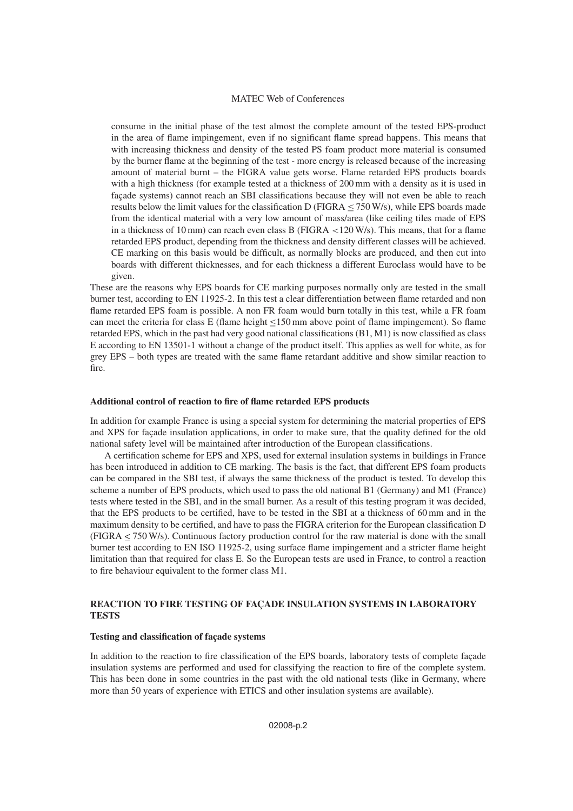consume in the initial phase of the test almost the complete amount of the tested EPS-product in the area of flame impingement, even if no significant flame spread happens. This means that with increasing thickness and density of the tested PS foam product more material is consumed by the burner flame at the beginning of the test - more energy is released because of the increasing amount of material burnt – the FIGRA value gets worse. Flame retarded EPS products boards with a high thickness (for example tested at a thickness of 200 mm with a density as it is used in façade systems) cannot reach an SBI classifications because they will not even be able to reach results below the limit values for the classification D (FIGRA  $\leq$  750 W/s), while EPS boards made from the identical material with a very low amount of mass/area (like ceiling tiles made of EPS in a thickness of 10 mm) can reach even class B (FIGRA  $\lt$ 120 W/s). This means, that for a flame retarded EPS product, depending from the thickness and density different classes will be achieved. CE marking on this basis would be difficult, as normally blocks are produced, and then cut into boards with different thicknesses, and for each thickness a different Euroclass would have to be given.

These are the reasons why EPS boards for CE marking purposes normally only are tested in the small burner test, according to EN 11925-2. In this test a clear differentiation between flame retarded and non flame retarded EPS foam is possible. A non FR foam would burn totally in this test, while a FR foam can meet the criteria for class E (flame height ≤150 mm above point of flame impingement). So flame retarded EPS, which in the past had very good national classifications (B1, M1) is now classified as class E according to EN 13501-1 without a change of the product itself. This applies as well for white, as for grey EPS – both types are treated with the same flame retardant additive and show similar reaction to fire.

#### **Additional control of reaction to fire of flame retarded EPS products**

In addition for example France is using a special system for determining the material properties of EPS and XPS for façade insulation applications, in order to make sure, that the quality defined for the old national safety level will be maintained after introduction of the European classifications.

A certification scheme for EPS and XPS, used for external insulation systems in buildings in France has been introduced in addition to CE marking. The basis is the fact, that different EPS foam products can be compared in the SBI test, if always the same thickness of the product is tested. To develop this scheme a number of EPS products, which used to pass the old national B1 (Germany) and M1 (France) tests where tested in the SBI, and in the small burner. As a result of this testing program it was decided, that the EPS products to be certified, have to be tested in the SBI at a thickness of 60 mm and in the maximum density to be certified, and have to pass the FIGRA criterion for the European classification D (FIGRA < 750 W/s). Continuous factory production control for the raw material is done with the small burner test according to EN ISO 11925-2, using surface flame impingement and a stricter flame height limitation than that required for class E. So the European tests are used in France, to control a reaction to fire behaviour equivalent to the former class M1.

## **REACTION TO FIRE TESTING OF FAÇADE INSULATION SYSTEMS IN LABORATORY TESTS**

#### **Testing and classification of façade systems**

In addition to the reaction to fire classification of the EPS boards, laboratory tests of complete façade insulation systems are performed and used for classifying the reaction to fire of the complete system. This has been done in some countries in the past with the old national tests (like in Germany, where more than 50 years of experience with ETICS and other insulation systems are available).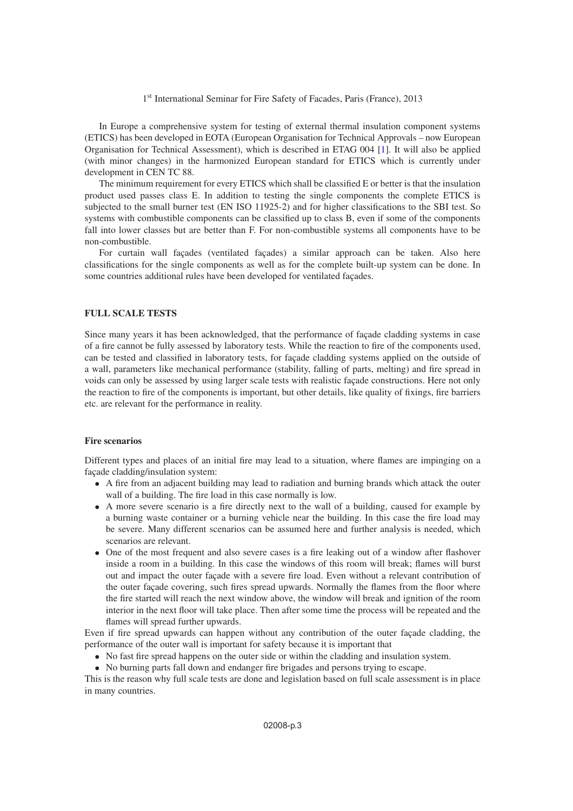In Europe a comprehensive system for testing of external thermal insulation component systems (ETICS) has been developed in EOTA (European Organisation for Technical Approvals – now European Organisation for Technical Assessment), which is described in ETAG 004 [\[1](#page-9-0)]. It will also be applied (with minor changes) in the harmonized European standard for ETICS which is currently under development in CEN TC 88.

The minimum requirement for every ETICS which shall be classified E or better is that the insulation product used passes class E. In addition to testing the single components the complete ETICS is subjected to the small burner test (EN ISO 11925-2) and for higher classifications to the SBI test. So systems with combustible components can be classified up to class B, even if some of the components fall into lower classes but are better than F. For non-combustible systems all components have to be non-combustible.

For curtain wall façades (ventilated façades) a similar approach can be taken. Also here classifications for the single components as well as for the complete built-up system can be done. In some countries additional rules have been developed for ventilated façades.

#### **FULL SCALE TESTS**

Since many years it has been acknowledged, that the performance of façade cladding systems in case of a fire cannot be fully assessed by laboratory tests. While the reaction to fire of the components used, can be tested and classified in laboratory tests, for façade cladding systems applied on the outside of a wall, parameters like mechanical performance (stability, falling of parts, melting) and fire spread in voids can only be assessed by using larger scale tests with realistic façade constructions. Here not only the reaction to fire of the components is important, but other details, like quality of fixings, fire barriers etc. are relevant for the performance in reality.

## **Fire scenarios**

Different types and places of an initial fire may lead to a situation, where flames are impinging on a façade cladding/insulation system:

- A fire from an adjacent building may lead to radiation and burning brands which attack the outer wall of a building. The fire load in this case normally is low.
- A more severe scenario is a fire directly next to the wall of a building, caused for example by a burning waste container or a burning vehicle near the building. In this case the fire load may be severe. Many different scenarios can be assumed here and further analysis is needed, which scenarios are relevant.
- One of the most frequent and also severe cases is a fire leaking out of a window after flashover inside a room in a building. In this case the windows of this room will break; flames will burst out and impact the outer façade with a severe fire load. Even without a relevant contribution of the outer façade covering, such fires spread upwards. Normally the flames from the floor where the fire started will reach the next window above, the window will break and ignition of the room interior in the next floor will take place. Then after some time the process will be repeated and the flames will spread further upwards.

Even if fire spread upwards can happen without any contribution of the outer façade cladding, the performance of the outer wall is important for safety because it is important that

- No fast fire spread happens on the outer side or within the cladding and insulation system.
- No burning parts fall down and endanger fire brigades and persons trying to escape.

This is the reason why full scale tests are done and legislation based on full scale assessment is in place in many countries.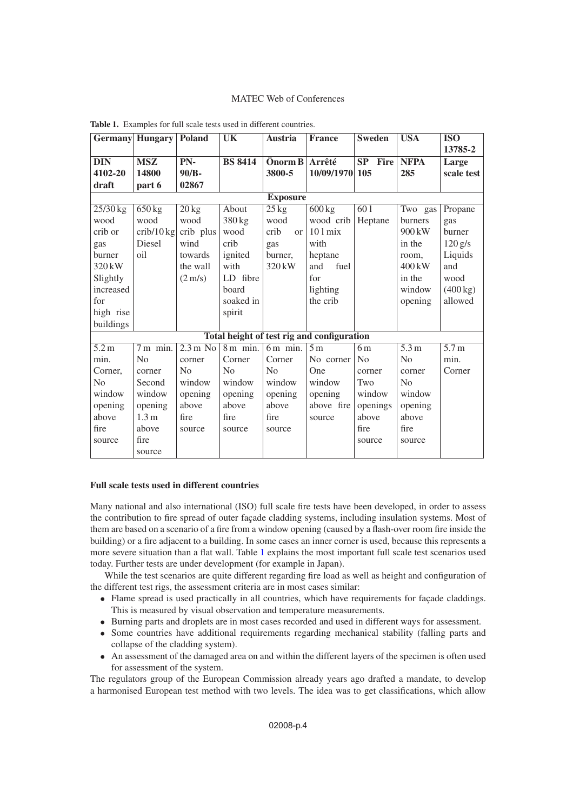|                                            | <b>Germany</b> Hungary | <b>Poland</b>      | UK                    | <b>Austria</b>           | <b>France</b>      | <b>Sweden</b>  | <b>USA</b>       | <b>ISO</b>         |
|--------------------------------------------|------------------------|--------------------|-----------------------|--------------------------|--------------------|----------------|------------------|--------------------|
|                                            |                        |                    |                       |                          |                    |                |                  | 13785-2            |
| <b>DIN</b>                                 | <b>MSZ</b>             | PN-                | <b>BS 8414</b>        | $\ddot{\text{O}}$ norm B | Arrêté             | SP<br>Fire     | <b>NFPA</b>      | Large              |
| 4102-20                                    | 14800                  | 90/B-              |                       | 3800-5                   | 10/09/1970         | 105            | 285              | scale test         |
| draft                                      | part 6                 | 02867              |                       |                          |                    |                |                  |                    |
| <b>Exposure</b>                            |                        |                    |                       |                          |                    |                |                  |                    |
| 25/30 kg                                   | $650\,\mathrm{kg}$     | $20 \text{ kg}$    | About                 | $25 \text{ kg}$          | $600\,\mathrm{kg}$ | 601            | Two gas          | Propane            |
| wood                                       | wood                   | wood               | 380 kg                | wood                     | wood crib          | Heptane        | burners          | gas                |
| crib or                                    | $crib/10$ kg           | crib plus          | wood                  | crib<br>or               | $101 \text{ mix}$  |                | $900 \text{ kW}$ | burner             |
| gas                                        | Diesel                 | wind               | crib                  | gas                      | with               |                | in the           | $120$ g/s          |
| burner                                     | $\overline{0}$         | towards            | ignited               | burner,                  | heptane            |                | room,            | Liquids            |
| 320 kW                                     |                        | the wall           | with                  | 320 kW                   | and<br>fuel        |                | $400 \text{ kW}$ | and                |
| Slightly                                   |                        | $(2 \text{ m/s})$  | LD fibre              |                          | for                |                | in the           | wood               |
| increased                                  |                        |                    | board                 |                          | lighting           |                | window           | $(400 \text{ kg})$ |
| for                                        |                        |                    | soaked in             |                          | the crib           |                | opening          | allowed            |
| high rise                                  |                        |                    | spirit                |                          |                    |                |                  |                    |
| buildings                                  |                        |                    |                       |                          |                    |                |                  |                    |
| Total height of test rig and configuration |                        |                    |                       |                          |                    |                |                  |                    |
| 5.2 <sub>m</sub>                           | $7m$ min.              | $2.3 \text{ m}$ No | $8 \,\mathrm{m}$ min. | $6m$ min.                | 5 <sub>m</sub>     | 6 <sub>m</sub> | 5.3 m            | 5.7 <sub>m</sub>   |
| min.                                       | N <sub>0</sub>         | corner             | Corner                | Corner                   | No corner          | N <sub>0</sub> | N <sub>0</sub>   | min.               |
| Corner.                                    | corner                 | No                 | No                    | N <sub>0</sub>           | One                | corner         | corner           | Corner             |
| N <sub>o</sub>                             | Second                 | window             | window                | window                   | window             | Two            | N <sub>0</sub>   |                    |
| window                                     | window                 | opening            | opening               | opening                  | opening            | window         | window           |                    |
| opening                                    | opening                | above              | above                 | above                    | above fire         | openings       | opening          |                    |
| above                                      | 1.3 <sub>m</sub>       | fire               | fire                  | fire                     | source             | above          | above            |                    |
| fire                                       | above                  | source             | source                | source                   |                    | fire           | fire             |                    |
| source                                     | fire                   |                    |                       |                          |                    | source         | source           |                    |
|                                            | source                 |                    |                       |                          |                    |                |                  |                    |

<span id="page-3-0"></span>**Table 1.** Examples for full scale tests used in different countries.

## **Full scale tests used in different countries**

Many national and also international (ISO) full scale fire tests have been developed, in order to assess the contribution to fire spread of outer façade cladding systems, including insulation systems. Most of them are based on a scenario of a fire from a window opening (caused by a flash-over room fire inside the building) or a fire adjacent to a building. In some cases an inner corner is used, because this represents a more severe situation than a flat wall. Table [1](#page-3-0) explains the most important full scale test scenarios used today. Further tests are under development (for example in Japan).

While the test scenarios are quite different regarding fire load as well as height and configuration of the different test rigs, the assessment criteria are in most cases similar:

- Flame spread is used practically in all countries, which have requirements for façade claddings. This is measured by visual observation and temperature measurements.
- Burning parts and droplets are in most cases recorded and used in different ways for assessment.
- Some countries have additional requirements regarding mechanical stability (falling parts and collapse of the cladding system).
- An assessment of the damaged area on and within the different layers of the specimen is often used for assessment of the system.

The regulators group of the European Commission already years ago drafted a mandate, to develop a harmonised European test method with two levels. The idea was to get classifications, which allow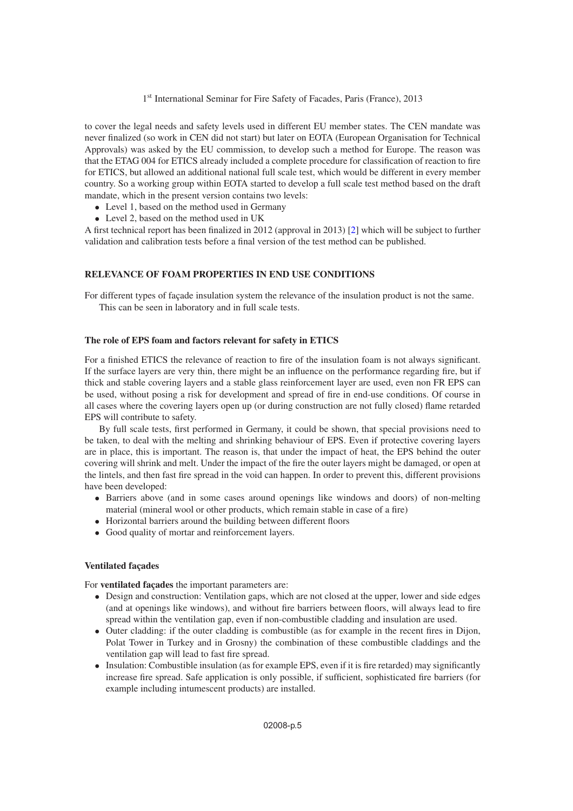to cover the legal needs and safety levels used in different EU member states. The CEN mandate was never finalized (so work in CEN did not start) but later on EOTA (European Organisation for Technical Approvals) was asked by the EU commission, to develop such a method for Europe. The reason was that the ETAG 004 for ETICS already included a complete procedure for classification of reaction to fire for ETICS, but allowed an additional national full scale test, which would be different in every member country. So a working group within EOTA started to develop a full scale test method based on the draft mandate, which in the present version contains two levels:

- Level 1, based on the method used in Germany
- Level 2, based on the method used in UK

A first technical report has been finalized in 2012 (approval in 2013) [\[2](#page-9-1)] which will be subject to further validation and calibration tests before a final version of the test method can be published.

## **RELEVANCE OF FOAM PROPERTIES IN END USE CONDITIONS**

For different types of façade insulation system the relevance of the insulation product is not the same. This can be seen in laboratory and in full scale tests.

#### **The role of EPS foam and factors relevant for safety in ETICS**

For a finished ETICS the relevance of reaction to fire of the insulation foam is not always significant. If the surface layers are very thin, there might be an influence on the performance regarding fire, but if thick and stable covering layers and a stable glass reinforcement layer are used, even non FR EPS can be used, without posing a risk for development and spread of fire in end-use conditions. Of course in all cases where the covering layers open up (or during construction are not fully closed) flame retarded EPS will contribute to safety.

By full scale tests, first performed in Germany, it could be shown, that special provisions need to be taken, to deal with the melting and shrinking behaviour of EPS. Even if protective covering layers are in place, this is important. The reason is, that under the impact of heat, the EPS behind the outer covering will shrink and melt. Under the impact of the fire the outer layers might be damaged, or open at the lintels, and then fast fire spread in the void can happen. In order to prevent this, different provisions have been developed:

- Barriers above (and in some cases around openings like windows and doors) of non-melting material (mineral wool or other products, which remain stable in case of a fire)
- Horizontal barriers around the building between different floors
- Good quality of mortar and reinforcement layers.

## **Ventilated façades**

For **ventilated façades** the important parameters are:

- Design and construction: Ventilation gaps, which are not closed at the upper, lower and side edges (and at openings like windows), and without fire barriers between floors, will always lead to fire spread within the ventilation gap, even if non-combustible cladding and insulation are used.
- Outer cladding: if the outer cladding is combustible (as for example in the recent fires in Dijon, Polat Tower in Turkey and in Grosny) the combination of these combustible claddings and the ventilation gap will lead to fast fire spread.
- Insulation: Combustible insulation (as for example EPS, even if it is fire retarded) may significantly increase fire spread. Safe application is only possible, if sufficient, sophisticated fire barriers (for example including intumescent products) are installed.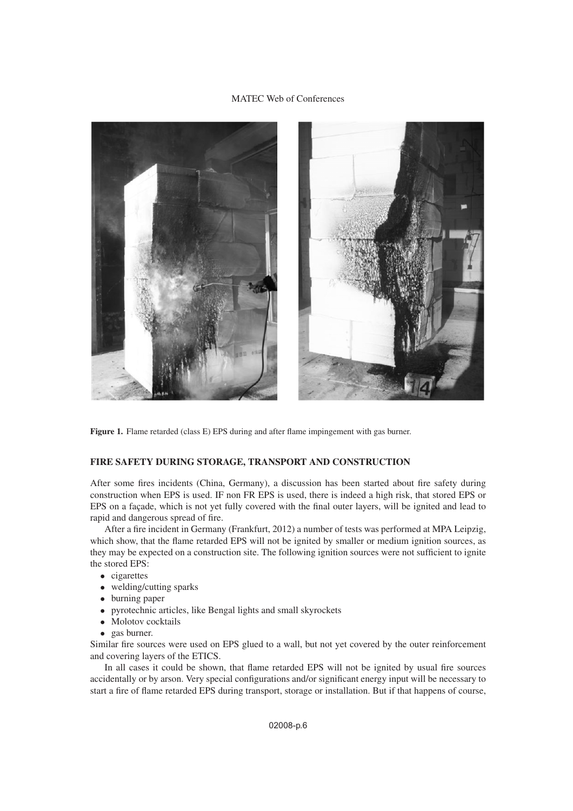

Figure 1. Flame retarded (class E) EPS during and after flame impingement with gas burner.

#### **FIRE SAFETY DURING STORAGE, TRANSPORT AND CONSTRUCTION**

After some fires incidents (China, Germany), a discussion has been started about fire safety during construction when EPS is used. IF non FR EPS is used, there is indeed a high risk, that stored EPS or EPS on a façade, which is not yet fully covered with the final outer layers, will be ignited and lead to rapid and dangerous spread of fire.

After a fire incident in Germany (Frankfurt, 2012) a number of tests was performed at MPA Leipzig, which show, that the flame retarded EPS will not be ignited by smaller or medium ignition sources, as they may be expected on a construction site. The following ignition sources were not sufficient to ignite the stored EPS:

- cigarettes
- welding/cutting sparks
- burning paper<br>• pyrotechnic are
- pyrotechnic articles, like Bengal lights and small skyrockets
- Molotov cocktails
- gas burner.

Similar fire sources were used on EPS glued to a wall, but not yet covered by the outer reinforcement and covering layers of the ETICS.

In all cases it could be shown, that flame retarded EPS will not be ignited by usual fire sources accidentally or by arson. Very special configurations and/or significant energy input will be necessary to start a fire of flame retarded EPS during transport, storage or installation. But if that happens of course,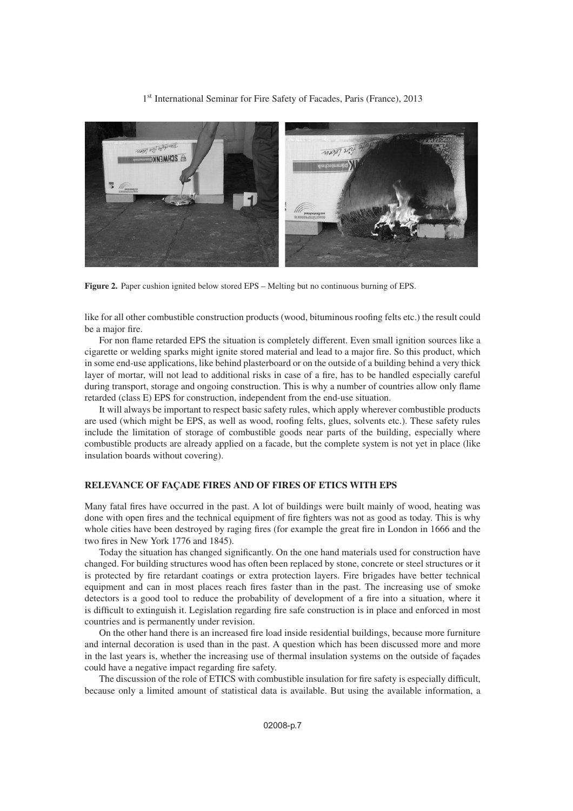

**Figure 2.** Paper cushion ignited below stored EPS – Melting but no continuous burning of EPS.

like for all other combustible construction products (wood, bituminous roofing felts etc.) the result could be a major fire.

For non flame retarded EPS the situation is completely different. Even small ignition sources like a cigarette or welding sparks might ignite stored material and lead to a major fire. So this product, which in some end-use applications, like behind plasterboard or on the outside of a building behind a very thick layer of mortar, will not lead to additional risks in case of a fire, has to be handled especially careful during transport, storage and ongoing construction. This is why a number of countries allow only flame retarded (class E) EPS for construction, independent from the end-use situation.

It will always be important to respect basic safety rules, which apply wherever combustible products are used (which might be EPS, as well as wood, roofing felts, glues, solvents etc.). These safety rules include the limitation of storage of combustible goods near parts of the building, especially where combustible products are already applied on a facade, but the complete system is not yet in place (like insulation boards without covering).

## **RELEVANCE OF FAÇADE FIRES AND OF FIRES OF ETICS WITH EPS**

Many fatal fires have occurred in the past. A lot of buildings were built mainly of wood, heating was done with open fires and the technical equipment of fire fighters was not as good as today. This is why whole cities have been destroyed by raging fires (for example the great fire in London in 1666 and the two fires in New York 1776 and 1845).

Today the situation has changed significantly. On the one hand materials used for construction have changed. For building structures wood has often been replaced by stone, concrete or steel structures or it is protected by fire retardant coatings or extra protection layers. Fire brigades have better technical equipment and can in most places reach fires faster than in the past. The increasing use of smoke detectors is a good tool to reduce the probability of development of a fire into a situation, where it is difficult to extinguish it. Legislation regarding fire safe construction is in place and enforced in most countries and is permanently under revision.

On the other hand there is an increased fire load inside residential buildings, because more furniture and internal decoration is used than in the past. A question which has been discussed more and more in the last years is, whether the increasing use of thermal insulation systems on the outside of façades could have a negative impact regarding fire safety.

The discussion of the role of ETICS with combustible insulation for fire safety is especially difficult, because only a limited amount of statistical data is available. But using the available information, a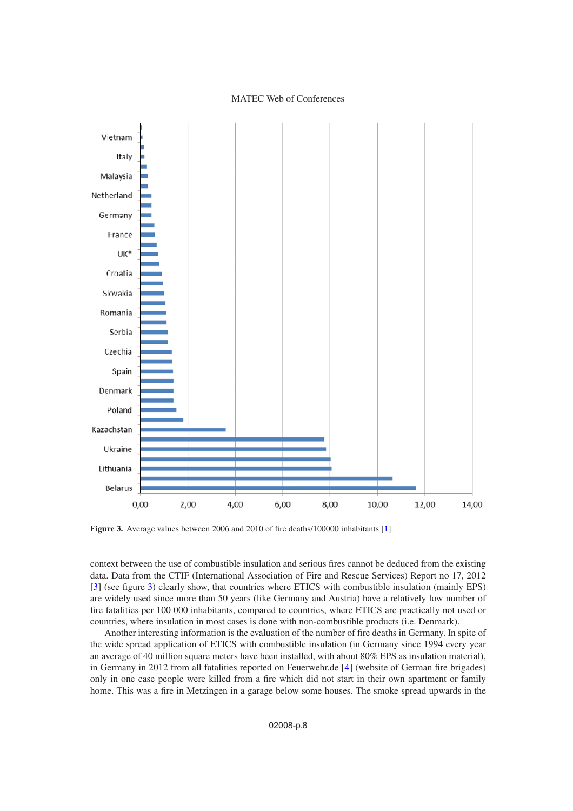<span id="page-7-0"></span>

**Figure 3.** Average values between 2006 and 2010 of fire deaths/100000 inhabitants [\[1](#page-9-0)].

context between the use of combustible insulation and serious fires cannot be deduced from the existing data. Data from the CTIF (International Association of Fire and Rescue Services) Report no 17, 2012 [\[3\]](#page-9-2) (see figure [3\)](#page-7-0) clearly show, that countries where ETICS with combustible insulation (mainly EPS) are widely used since more than 50 years (like Germany and Austria) have a relatively low number of fire fatalities per 100 000 inhabitants, compared to countries, where ETICS are practically not used or countries, where insulation in most cases is done with non-combustible products (i.e. Denmark).

Another interesting information is the evaluation of the number of fire deaths in Germany. In spite of the wide spread application of ETICS with combustible insulation (in Germany since 1994 every year an average of 40 million square meters have been installed, with about 80% EPS as insulation material), in Germany in 2012 from all fatalities reported on Feuerwehr.de [\[4\]](#page-9-3) (website of German fire brigades) only in one case people were killed from a fire which did not start in their own apartment or family home. This was a fire in Metzingen in a garage below some houses. The smoke spread upwards in the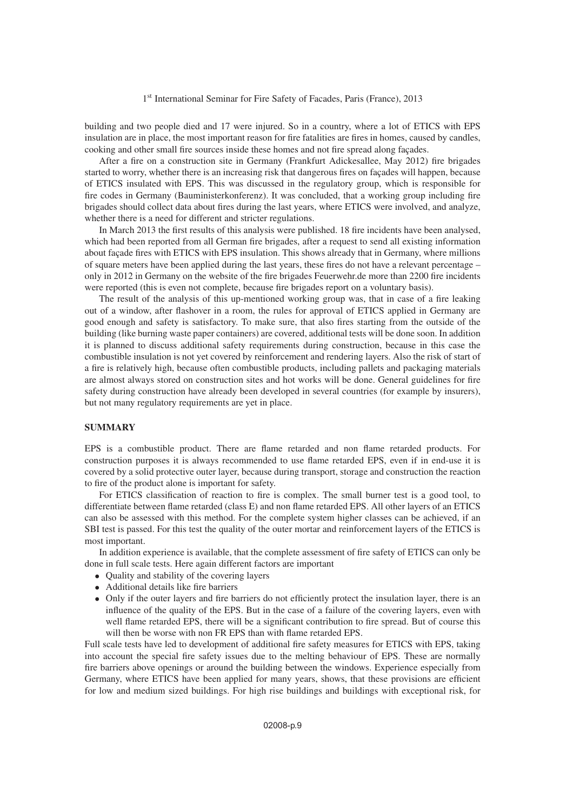building and two people died and 17 were injured. So in a country, where a lot of ETICS with EPS insulation are in place, the most important reason for fire fatalities are fires in homes, caused by candles, cooking and other small fire sources inside these homes and not fire spread along façades.

After a fire on a construction site in Germany (Frankfurt Adickesallee, May 2012) fire brigades started to worry, whether there is an increasing risk that dangerous fires on façades will happen, because of ETICS insulated with EPS. This was discussed in the regulatory group, which is responsible for fire codes in Germany (Bauministerkonferenz). It was concluded, that a working group including fire brigades should collect data about fires during the last years, where ETICS were involved, and analyze, whether there is a need for different and stricter regulations.

In March 2013 the first results of this analysis were published. 18 fire incidents have been analysed, which had been reported from all German fire brigades, after a request to send all existing information about façade fires with ETICS with EPS insulation. This shows already that in Germany, where millions of square meters have been applied during the last years, these fires do not have a relevant percentage – only in 2012 in Germany on the website of the fire brigades Feuerwehr.de more than 2200 fire incidents were reported (this is even not complete, because fire brigades report on a voluntary basis).

The result of the analysis of this up-mentioned working group was, that in case of a fire leaking out of a window, after flashover in a room, the rules for approval of ETICS applied in Germany are good enough and safety is satisfactory. To make sure, that also fires starting from the outside of the building (like burning waste paper containers) are covered, additional tests will be done soon. In addition it is planned to discuss additional safety requirements during construction, because in this case the combustible insulation is not yet covered by reinforcement and rendering layers. Also the risk of start of a fire is relatively high, because often combustible products, including pallets and packaging materials are almost always stored on construction sites and hot works will be done. General guidelines for fire safety during construction have already been developed in several countries (for example by insurers), but not many regulatory requirements are yet in place.

## **SUMMARY**

EPS is a combustible product. There are flame retarded and non flame retarded products. For construction purposes it is always recommended to use flame retarded EPS, even if in end-use it is covered by a solid protective outer layer, because during transport, storage and construction the reaction to fire of the product alone is important for safety.

For ETICS classification of reaction to fire is complex. The small burner test is a good tool, to differentiate between flame retarded (class E) and non flame retarded EPS. All other layers of an ETICS can also be assessed with this method. For the complete system higher classes can be achieved, if an SBI test is passed. For this test the quality of the outer mortar and reinforcement layers of the ETICS is most important.

In addition experience is available, that the complete assessment of fire safety of ETICS can only be done in full scale tests. Here again different factors are important

- Ouality and stability of the covering layers
- Additional details like fire barriers
- Only if the outer layers and fire barriers do not efficiently protect the insulation layer, there is an influence of the quality of the EPS. But in the case of a failure of the covering layers, even with well flame retarded EPS, there will be a significant contribution to fire spread. But of course this will then be worse with non FR EPS than with flame retarded EPS.

Full scale tests have led to development of additional fire safety measures for ETICS with EPS, taking into account the special fire safety issues due to the melting behaviour of EPS. These are normally fire barriers above openings or around the building between the windows. Experience especially from Germany, where ETICS have been applied for many years, shows, that these provisions are efficient for low and medium sized buildings. For high rise buildings and buildings with exceptional risk, for